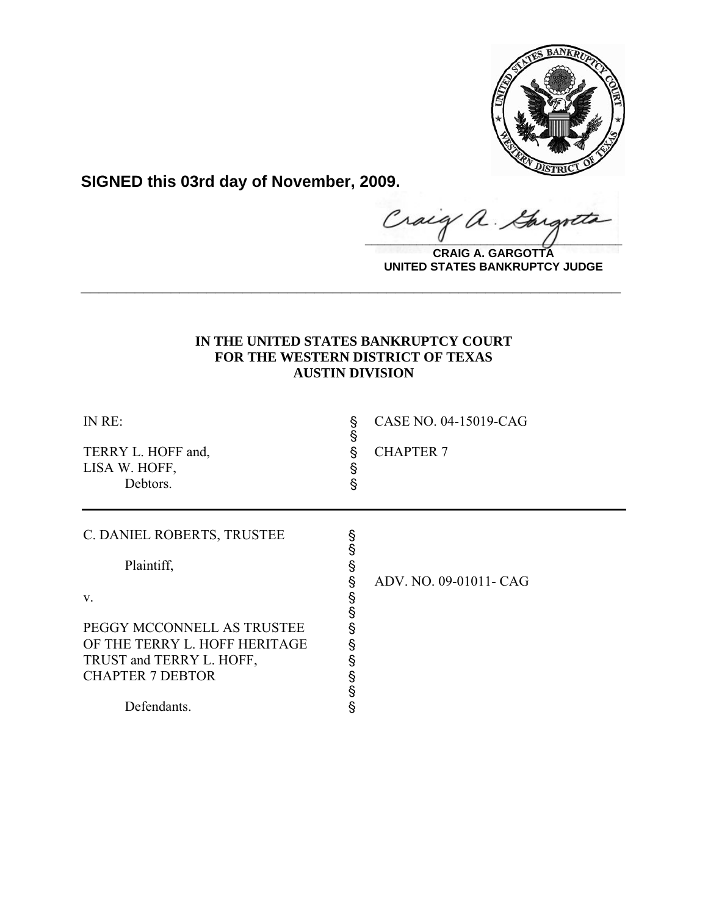

**SIGNED this 03rd day of November, 2009.**

Craig a. Gargote

**CRAIG A. GARGOTTA UNITED STATES BANKRUPTCY JUDGE**

# **IN THE UNITED STATES BANKRUPTCY COURT FOR THE WESTERN DISTRICT OF TEXAS AUSTIN DIVISION**

**\_\_\_\_\_\_\_\_\_\_\_\_\_\_\_\_\_\_\_\_\_\_\_\_\_\_\_\_\_\_\_\_\_\_\_\_\_\_\_\_\_\_\_\_\_\_\_\_\_\_\_\_\_\_\_\_\_\_\_\_**

| INRE:<br>TERRY L. HOFF and,<br>LISA W. HOFF,<br>Debtors.                                                                          | §<br>Ş<br>Ş<br>Ş<br>ş      | CASE NO. 04-15019-CAG<br><b>CHAPTER 7</b> |
|-----------------------------------------------------------------------------------------------------------------------------------|----------------------------|-------------------------------------------|
| C. DANIEL ROBERTS, TRUSTEE<br>Plaintiff,<br>V.                                                                                    | §<br>§<br>Ş<br>§<br>§<br>§ | ADV. NO. 09-01011- CAG                    |
| PEGGY MCCONNELL AS TRUSTEE<br>OF THE TERRY L. HOFF HERITAGE<br>TRUST and TERRY L. HOFF,<br><b>CHAPTER 7 DEBTOR</b><br>Defendants. | §<br>§<br>§<br>§<br>§<br>Ś |                                           |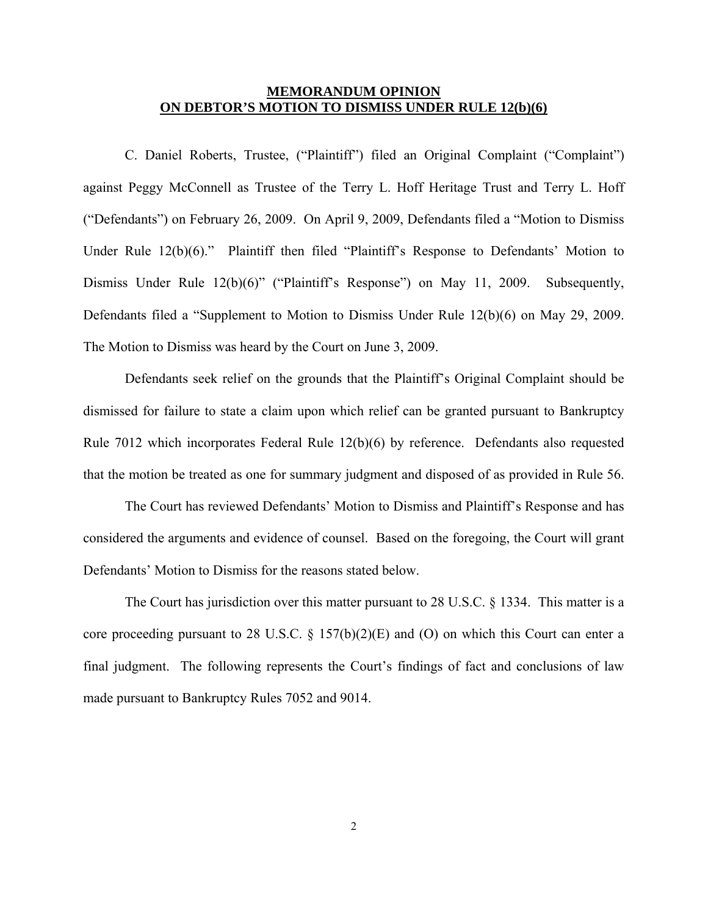## **MEMORANDUM OPINION ON DEBTOR'S MOTION TO DISMISS UNDER RULE 12(b)(6)**

 C. Daniel Roberts, Trustee, ("Plaintiff") filed an Original Complaint ("Complaint") against Peggy McConnell as Trustee of the Terry L. Hoff Heritage Trust and Terry L. Hoff ("Defendants") on February 26, 2009. On April 9, 2009, Defendants filed a "Motion to Dismiss Under Rule 12(b)(6)." Plaintiff then filed "Plaintiff's Response to Defendants' Motion to Dismiss Under Rule 12(b)(6)" ("Plaintiff's Response") on May 11, 2009. Subsequently, Defendants filed a "Supplement to Motion to Dismiss Under Rule 12(b)(6) on May 29, 2009. The Motion to Dismiss was heard by the Court on June 3, 2009.

 Defendants seek relief on the grounds that the Plaintiff's Original Complaint should be dismissed for failure to state a claim upon which relief can be granted pursuant to Bankruptcy Rule 7012 which incorporates Federal Rule 12(b)(6) by reference. Defendants also requested that the motion be treated as one for summary judgment and disposed of as provided in Rule 56.

 The Court has reviewed Defendants' Motion to Dismiss and Plaintiff's Response and has considered the arguments and evidence of counsel. Based on the foregoing, the Court will grant Defendants' Motion to Dismiss for the reasons stated below.

 The Court has jurisdiction over this matter pursuant to 28 U.S.C. § 1334. This matter is a core proceeding pursuant to 28 U.S.C.  $\S$  157(b)(2)(E) and (O) on which this Court can enter a final judgment. The following represents the Court's findings of fact and conclusions of law made pursuant to Bankruptcy Rules 7052 and 9014.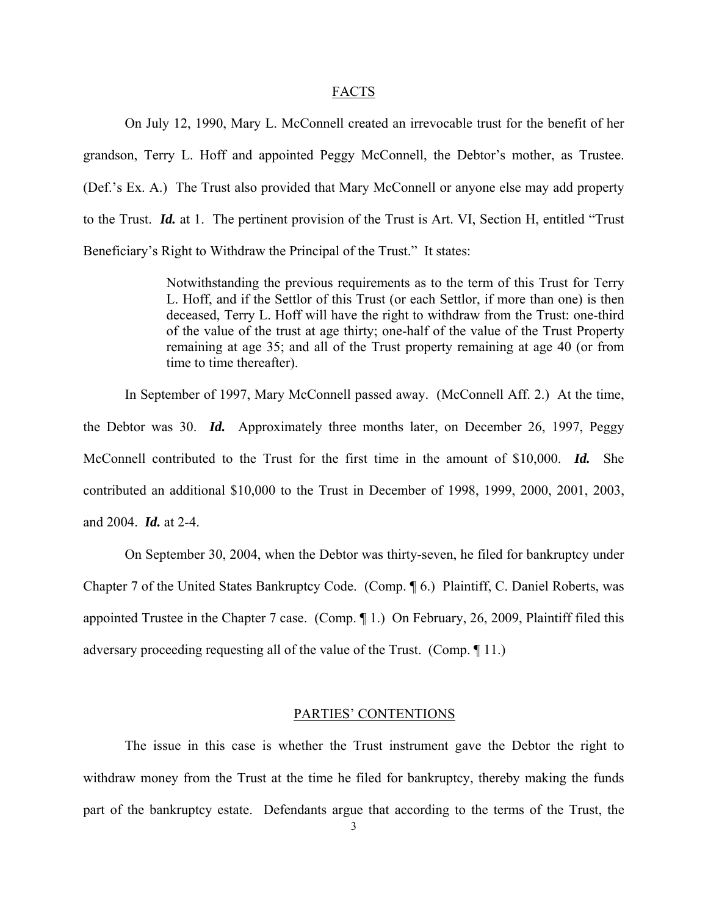#### FACTS

 On July 12, 1990, Mary L. McConnell created an irrevocable trust for the benefit of her grandson, Terry L. Hoff and appointed Peggy McConnell, the Debtor's mother, as Trustee. (Def.'s Ex. A.) The Trust also provided that Mary McConnell or anyone else may add property to the Trust. *Id.* at 1. The pertinent provision of the Trust is Art. VI, Section H, entitled "Trust Beneficiary's Right to Withdraw the Principal of the Trust." It states:

> Notwithstanding the previous requirements as to the term of this Trust for Terry L. Hoff, and if the Settlor of this Trust (or each Settlor, if more than one) is then deceased, Terry L. Hoff will have the right to withdraw from the Trust: one-third of the value of the trust at age thirty; one-half of the value of the Trust Property remaining at age 35; and all of the Trust property remaining at age 40 (or from time to time thereafter).

In September of 1997, Mary McConnell passed away. (McConnell Aff. 2.) At the time, the Debtor was 30. *Id.* Approximately three months later, on December 26, 1997, Peggy McConnell contributed to the Trust for the first time in the amount of \$10,000. *Id.* She contributed an additional \$10,000 to the Trust in December of 1998, 1999, 2000, 2001, 2003, and 2004. *Id.* at 2-4.

On September 30, 2004, when the Debtor was thirty-seven, he filed for bankruptcy under Chapter 7 of the United States Bankruptcy Code. (Comp. ¶ 6.) Plaintiff, C. Daniel Roberts, was appointed Trustee in the Chapter 7 case. (Comp. ¶ 1.) On February, 26, 2009, Plaintiff filed this adversary proceeding requesting all of the value of the Trust. (Comp. ¶ 11.)

### PARTIES' CONTENTIONS

The issue in this case is whether the Trust instrument gave the Debtor the right to withdraw money from the Trust at the time he filed for bankruptcy, thereby making the funds part of the bankruptcy estate. Defendants argue that according to the terms of the Trust, the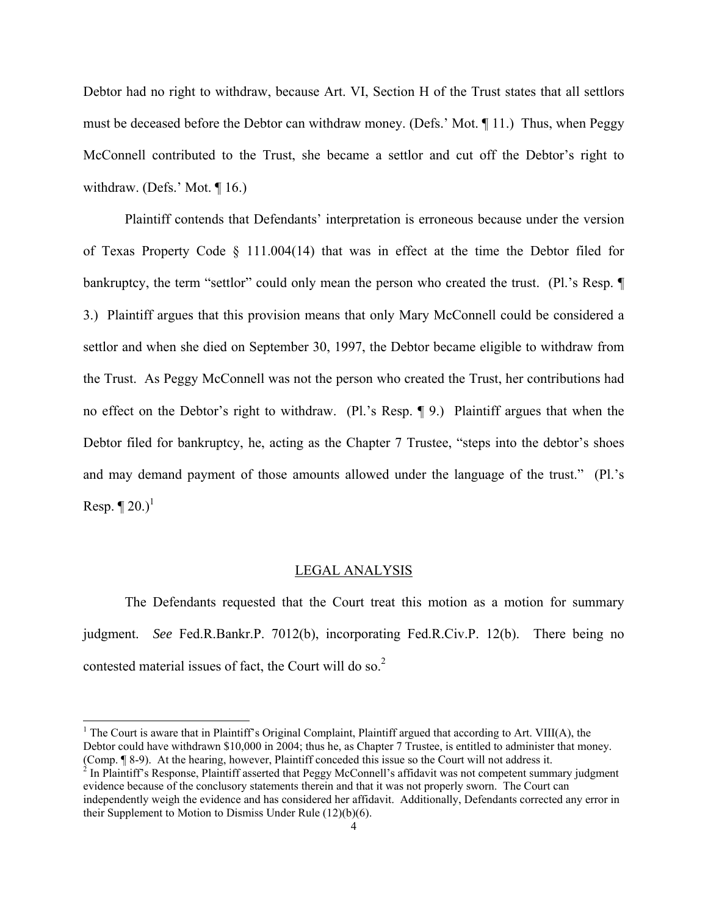Debtor had no right to withdraw, because Art. VI, Section H of the Trust states that all settlors must be deceased before the Debtor can withdraw money. (Defs.' Mot. ¶ 11.) Thus, when Peggy McConnell contributed to the Trust, she became a settlor and cut off the Debtor's right to withdraw. (Defs.' Mot.  $\P$  16.)

Plaintiff contends that Defendants' interpretation is erroneous because under the version of Texas Property Code § 111.004(14) that was in effect at the time the Debtor filed for bankruptcy, the term "settlor" could only mean the person who created the trust. (Pl.'s Resp. ¶ 3.) Plaintiff argues that this provision means that only Mary McConnell could be considered a settlor and when she died on September 30, 1997, the Debtor became eligible to withdraw from the Trust. As Peggy McConnell was not the person who created the Trust, her contributions had no effect on the Debtor's right to withdraw. (Pl.'s Resp. ¶ 9.) Plaintiff argues that when the Debtor filed for bankruptcy, he, acting as the Chapter 7 Trustee, "steps into the debtor's shoes and may demand payment of those amounts allowed under the language of the trust." (Pl.'s Resp.  $\P$  20.)<sup>1</sup>

#### LEGAL ANALYSIS

 The Defendants requested that the Court treat this motion as a motion for summary judgment. *See* Fed.R.Bankr.P. 7012(b), incorporating Fed.R.Civ.P. 12(b). There being no contested material issues of fact, the Court will do so.<sup>2</sup>

 $\overline{a}$ 

<sup>&</sup>lt;sup>1</sup> The Court is aware that in Plaintiff's Original Complaint, Plaintiff argued that according to Art. VIII(A), the Debtor could have withdrawn \$10,000 in 2004; thus he, as Chapter 7 Trustee, is entitled to administer that money. (Comp. ¶ 8-9). At the hearing, however, Plaintiff conceded this issue so the Court will not address it. 2

 $\frac{1}{2}$  In Plaintiff's Response, Plaintiff asserted that Peggy McConnell's affidavit was not competent summary judgment evidence because of the conclusory statements therein and that it was not properly sworn. The Court can independently weigh the evidence and has considered her affidavit. Additionally, Defendants corrected any error in their Supplement to Motion to Dismiss Under Rule (12)(b)(6).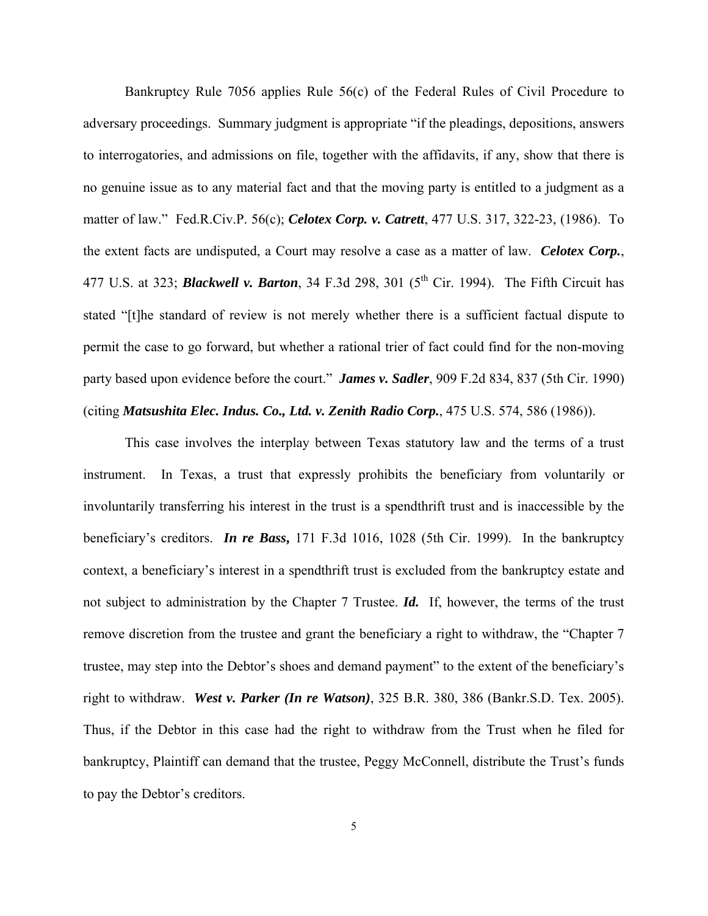Bankruptcy Rule 7056 applies Rule 56(c) of the Federal Rules of Civil Procedure to adversary proceedings. Summary judgment is appropriate "if the pleadings, depositions, answers to interrogatories, and admissions on file, together with the affidavits, if any, show that there is no genuine issue as to any material fact and that the moving party is entitled to a judgment as a matter of law." Fed.R.Civ.P. 56(c); *Celotex Corp. v. Catrett*, 477 U.S. 317, 322-23, (1986). To the extent facts are undisputed, a Court may resolve a case as a matter of law. *Celotex Corp.*, 477 U.S. at 323; **Blackwell v. Barton**, 34 F.3d 298, 301 (5<sup>th</sup> Cir. 1994). The Fifth Circuit has stated "[t]he standard of review is not merely whether there is a sufficient factual dispute to permit the case to go forward, but whether a rational trier of fact could find for the non-moving party based upon evidence before the court." *James v. Sadler*, 909 F.2d 834, 837 (5th Cir. 1990) (citing *Matsushita Elec. Indus. Co., Ltd. v. Zenith Radio Corp.*, 475 U.S. 574, 586 (1986)).

This case involves the interplay between Texas statutory law and the terms of a trust instrument. In Texas, a trust that expressly prohibits the beneficiary from voluntarily or involuntarily transferring his interest in the trust is a spendthrift trust and is inaccessible by the beneficiary's creditors. *In re Bass***,** 171 F.3d 1016, 1028 (5th Cir. 1999). In the bankruptcy context, a beneficiary's interest in a spendthrift trust is excluded from the bankruptcy estate and not subject to administration by the Chapter 7 Trustee. *Id.* If, however, the terms of the trust remove discretion from the trustee and grant the beneficiary a right to withdraw, the "Chapter 7 trustee, may step into the Debtor's shoes and demand payment" to the extent of the beneficiary's right to withdraw. *West v. Parker (In re Watson)*, 325 B.R. 380, 386 (Bankr.S.D. Tex. 2005). Thus, if the Debtor in this case had the right to withdraw from the Trust when he filed for bankruptcy, Plaintiff can demand that the trustee, Peggy McConnell, distribute the Trust's funds to pay the Debtor's creditors.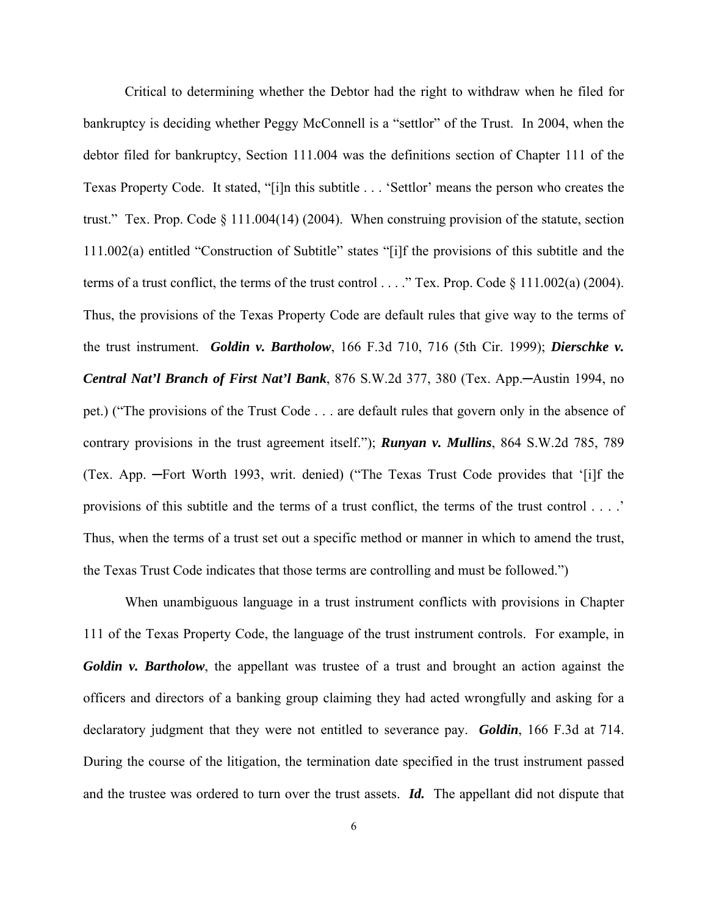Critical to determining whether the Debtor had the right to withdraw when he filed for bankruptcy is deciding whether Peggy McConnell is a "settlor" of the Trust. In 2004, when the debtor filed for bankruptcy, Section 111.004 was the definitions section of Chapter 111 of the Texas Property Code. It stated, "[i]n this subtitle . . . 'Settlor' means the person who creates the trust." Tex. Prop. Code § 111.004(14) (2004). When construing provision of the statute, section 111.002(a) entitled "Construction of Subtitle" states "[i]f the provisions of this subtitle and the terms of a trust conflict, the terms of the trust control . . . ." Tex. Prop. Code § 111.002(a) (2004). Thus, the provisions of the Texas Property Code are default rules that give way to the terms of the trust instrument. *Goldin v. Bartholow*, 166 F.3d 710, 716 (5th Cir. 1999); *Dierschke v. Central Nat'l Branch of First Nat'l Bank*, 876 S.W.2d 377, 380 (Tex. App.─Austin 1994, no pet.) ("The provisions of the Trust Code . . . are default rules that govern only in the absence of contrary provisions in the trust agreement itself."); *Runyan v. Mullins*, 864 S.W.2d 785, 789 (Tex. App. ─Fort Worth 1993, writ. denied) ("The Texas Trust Code provides that '[i]f the provisions of this subtitle and the terms of a trust conflict, the terms of the trust control . . . .' Thus, when the terms of a trust set out a specific method or manner in which to amend the trust, the Texas Trust Code indicates that those terms are controlling and must be followed.")

When unambiguous language in a trust instrument conflicts with provisions in Chapter 111 of the Texas Property Code, the language of the trust instrument controls. For example, in *Goldin v. Bartholow*, the appellant was trustee of a trust and brought an action against the officers and directors of a banking group claiming they had acted wrongfully and asking for a declaratory judgment that they were not entitled to severance pay. *Goldin*, 166 F.3d at 714. During the course of the litigation, the termination date specified in the trust instrument passed and the trustee was ordered to turn over the trust assets. *Id.* The appellant did not dispute that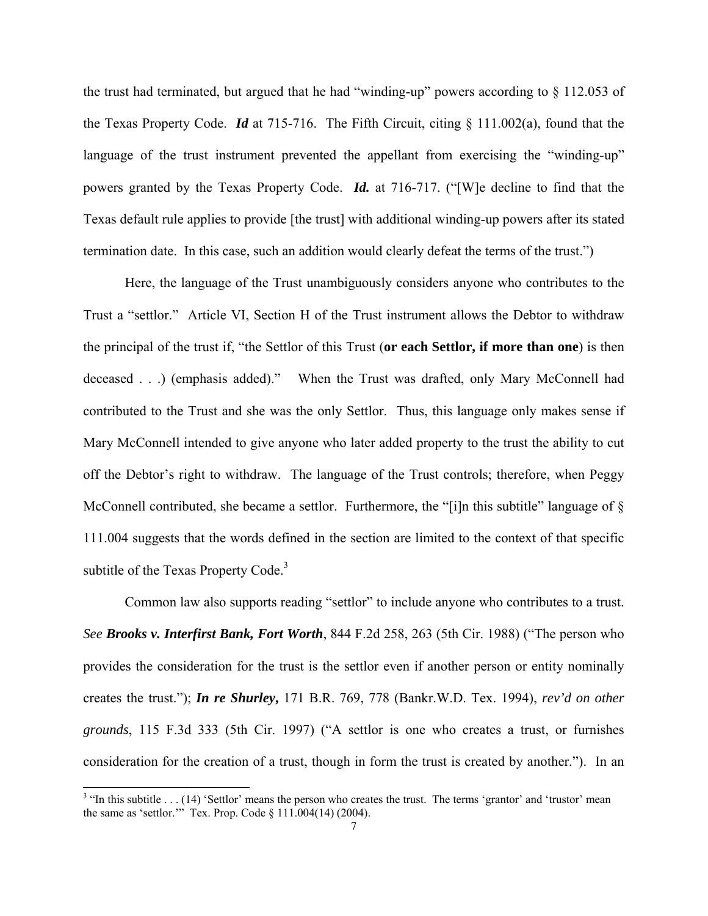the trust had terminated, but argued that he had "winding-up" powers according to § 112.053 of the Texas Property Code. *Id* at 715-716. The Fifth Circuit, citing § 111.002(a), found that the language of the trust instrument prevented the appellant from exercising the "winding-up" powers granted by the Texas Property Code. *Id.* at 716-717. ("[W]e decline to find that the Texas default rule applies to provide [the trust] with additional winding-up powers after its stated termination date. In this case, such an addition would clearly defeat the terms of the trust.")

Here, the language of the Trust unambiguously considers anyone who contributes to the Trust a "settlor." Article VI, Section H of the Trust instrument allows the Debtor to withdraw the principal of the trust if, "the Settlor of this Trust (**or each Settlor, if more than one**) is then deceased . . .) (emphasis added)." When the Trust was drafted, only Mary McConnell had contributed to the Trust and she was the only Settlor. Thus, this language only makes sense if Mary McConnell intended to give anyone who later added property to the trust the ability to cut off the Debtor's right to withdraw. The language of the Trust controls; therefore, when Peggy McConnell contributed, she became a settlor. Furthermore, the "[i]n this subtitle" language of § 111.004 suggests that the words defined in the section are limited to the context of that specific subtitle of the Texas Property Code.<sup>3</sup>

Common law also supports reading "settlor" to include anyone who contributes to a trust. *See Brooks v. Interfirst Bank, Fort Worth*, 844 F.2d 258, 263 (5th Cir. 1988) ("The person who provides the consideration for the trust is the settlor even if another person or entity nominally creates the trust."); *In re Shurley***,** 171 B.R. 769, 778 (Bankr.W.D. Tex. 1994), *rev'd on other grounds*, 115 F.3d 333 (5th Cir. 1997) ("A settlor is one who creates a trust, or furnishes consideration for the creation of a trust, though in form the trust is created by another."). In an

<sup>&</sup>lt;sup>3</sup> "In this subtitle . . . (14) 'Settlor' means the person who creates the trust. The terms 'grantor' and 'trustor' mean the same as 'settlor.'" Tex. Prop. Code § 111.004(14) (2004).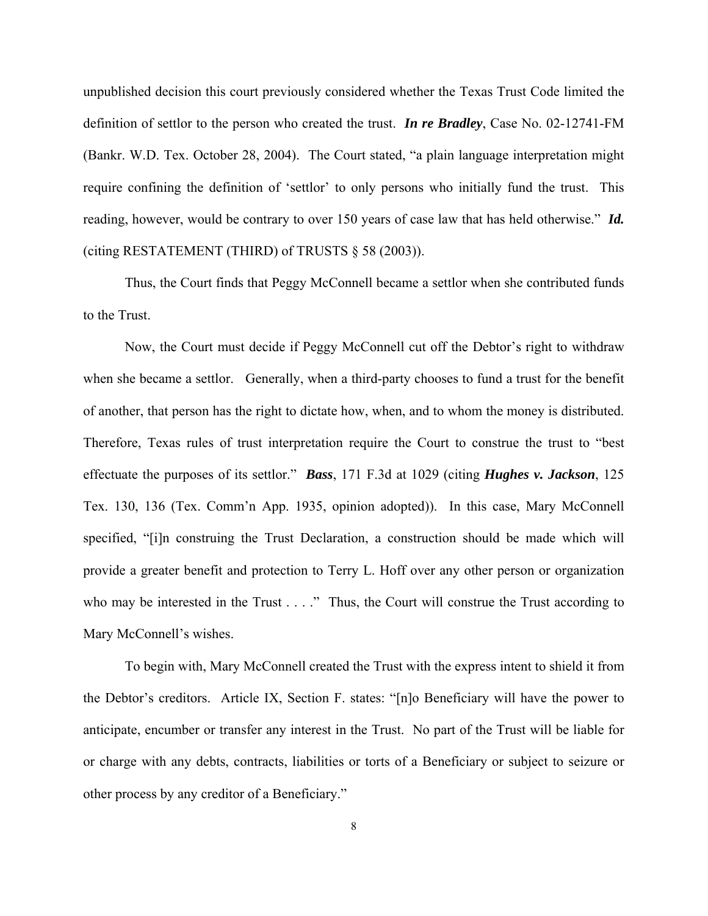unpublished decision this court previously considered whether the Texas Trust Code limited the definition of settlor to the person who created the trust. *In re Bradley*, Case No. 02-12741-FM (Bankr. W.D. Tex. October 28, 2004). The Court stated, "a plain language interpretation might require confining the definition of 'settlor' to only persons who initially fund the trust. This reading, however, would be contrary to over 150 years of case law that has held otherwise." *Id.*  (citing RESTATEMENT (THIRD) of TRUSTS § 58 (2003)).

Thus, the Court finds that Peggy McConnell became a settlor when she contributed funds to the Trust.

Now, the Court must decide if Peggy McConnell cut off the Debtor's right to withdraw when she became a settlor. Generally, when a third-party chooses to fund a trust for the benefit of another, that person has the right to dictate how, when, and to whom the money is distributed. Therefore, Texas rules of trust interpretation require the Court to construe the trust to "best effectuate the purposes of its settlor." *Bass*, 171 F.3d at 1029 (citing *Hughes v. Jackson*, 125 Tex. 130, 136 (Tex. Comm'n App. 1935, opinion adopted)). In this case, Mary McConnell specified, "[i]n construing the Trust Declaration, a construction should be made which will provide a greater benefit and protection to Terry L. Hoff over any other person or organization who may be interested in the Trust . . . ." Thus, the Court will construe the Trust according to Mary McConnell's wishes.

To begin with, Mary McConnell created the Trust with the express intent to shield it from the Debtor's creditors. Article IX, Section F. states: "[n]o Beneficiary will have the power to anticipate, encumber or transfer any interest in the Trust. No part of the Trust will be liable for or charge with any debts, contracts, liabilities or torts of a Beneficiary or subject to seizure or other process by any creditor of a Beneficiary."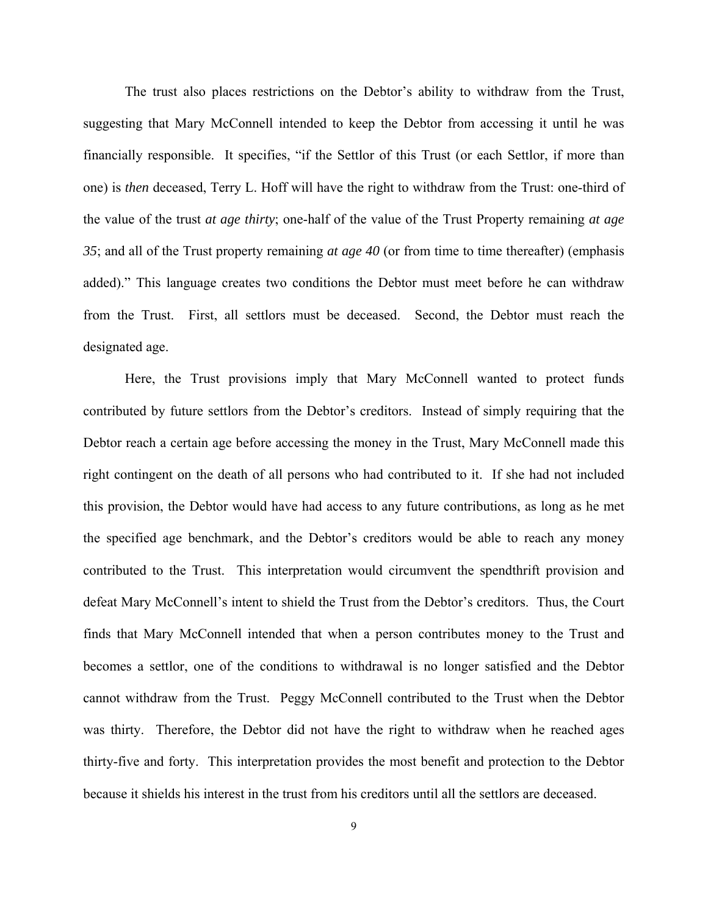The trust also places restrictions on the Debtor's ability to withdraw from the Trust, suggesting that Mary McConnell intended to keep the Debtor from accessing it until he was financially responsible. It specifies, "if the Settlor of this Trust (or each Settlor, if more than one) is *then* deceased, Terry L. Hoff will have the right to withdraw from the Trust: one-third of the value of the trust *at age thirty*; one-half of the value of the Trust Property remaining *at age 35*; and all of the Trust property remaining *at age 40* (or from time to time thereafter) (emphasis added)." This language creates two conditions the Debtor must meet before he can withdraw from the Trust. First, all settlors must be deceased. Second, the Debtor must reach the designated age.

 Here, the Trust provisions imply that Mary McConnell wanted to protect funds contributed by future settlors from the Debtor's creditors. Instead of simply requiring that the Debtor reach a certain age before accessing the money in the Trust, Mary McConnell made this right contingent on the death of all persons who had contributed to it. If she had not included this provision, the Debtor would have had access to any future contributions, as long as he met the specified age benchmark, and the Debtor's creditors would be able to reach any money contributed to the Trust. This interpretation would circumvent the spendthrift provision and defeat Mary McConnell's intent to shield the Trust from the Debtor's creditors. Thus, the Court finds that Mary McConnell intended that when a person contributes money to the Trust and becomes a settlor, one of the conditions to withdrawal is no longer satisfied and the Debtor cannot withdraw from the Trust. Peggy McConnell contributed to the Trust when the Debtor was thirty. Therefore, the Debtor did not have the right to withdraw when he reached ages thirty-five and forty. This interpretation provides the most benefit and protection to the Debtor because it shields his interest in the trust from his creditors until all the settlors are deceased.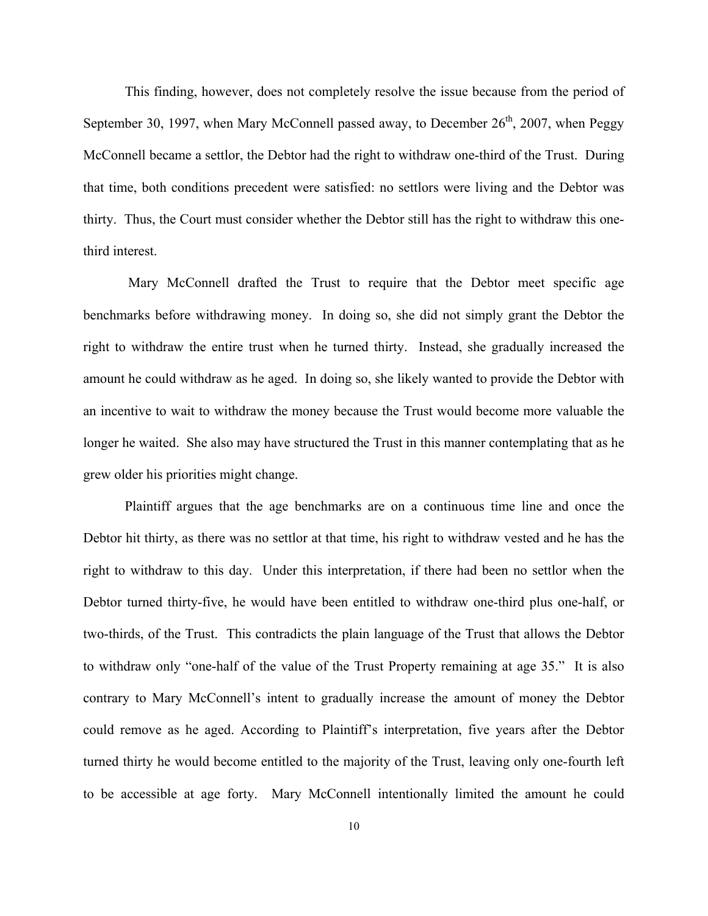This finding, however, does not completely resolve the issue because from the period of September 30, 1997, when Mary McConnell passed away, to December  $26<sup>th</sup>$ , 2007, when Peggy McConnell became a settlor, the Debtor had the right to withdraw one-third of the Trust. During that time, both conditions precedent were satisfied: no settlors were living and the Debtor was thirty. Thus, the Court must consider whether the Debtor still has the right to withdraw this onethird interest.

 Mary McConnell drafted the Trust to require that the Debtor meet specific age benchmarks before withdrawing money. In doing so, she did not simply grant the Debtor the right to withdraw the entire trust when he turned thirty. Instead, she gradually increased the amount he could withdraw as he aged. In doing so, she likely wanted to provide the Debtor with an incentive to wait to withdraw the money because the Trust would become more valuable the longer he waited. She also may have structured the Trust in this manner contemplating that as he grew older his priorities might change.

Plaintiff argues that the age benchmarks are on a continuous time line and once the Debtor hit thirty, as there was no settlor at that time, his right to withdraw vested and he has the right to withdraw to this day. Under this interpretation, if there had been no settlor when the Debtor turned thirty-five, he would have been entitled to withdraw one-third plus one-half, or two-thirds, of the Trust. This contradicts the plain language of the Trust that allows the Debtor to withdraw only "one-half of the value of the Trust Property remaining at age 35." It is also contrary to Mary McConnell's intent to gradually increase the amount of money the Debtor could remove as he aged. According to Plaintiff's interpretation, five years after the Debtor turned thirty he would become entitled to the majority of the Trust, leaving only one-fourth left to be accessible at age forty. Mary McConnell intentionally limited the amount he could